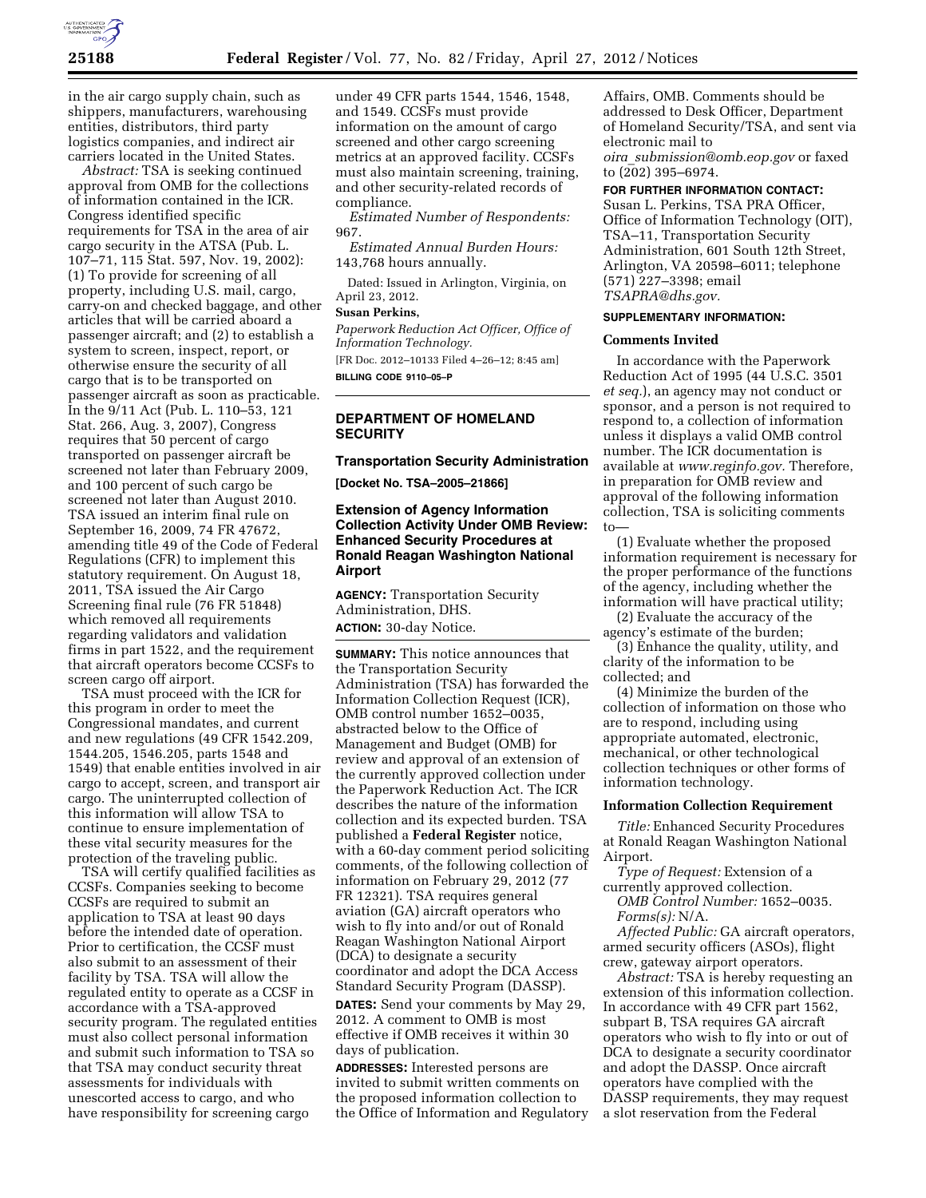

in the air cargo supply chain, such as shippers, manufacturers, warehousing entities, distributors, third party logistics companies, and indirect air carriers located in the United States.

*Abstract:* TSA is seeking continued approval from OMB for the collections of information contained in the ICR. Congress identified specific requirements for TSA in the area of air cargo security in the ATSA (Pub. L. 107–71, 115 Stat. 597, Nov. 19, 2002): (1) To provide for screening of all property, including U.S. mail, cargo, carry-on and checked baggage, and other articles that will be carried aboard a passenger aircraft; and (2) to establish a system to screen, inspect, report, or otherwise ensure the security of all cargo that is to be transported on passenger aircraft as soon as practicable. In the 9/11 Act (Pub. L. 110–53, 121 Stat. 266, Aug. 3, 2007), Congress requires that 50 percent of cargo transported on passenger aircraft be screened not later than February 2009, and 100 percent of such cargo be screened not later than August 2010. TSA issued an interim final rule on September 16, 2009, 74 FR 47672, amending title 49 of the Code of Federal Regulations (CFR) to implement this statutory requirement. On August 18, 2011, TSA issued the Air Cargo Screening final rule (76 FR 51848) which removed all requirements regarding validators and validation firms in part 1522, and the requirement that aircraft operators become CCSFs to screen cargo off airport.

TSA must proceed with the ICR for this program in order to meet the Congressional mandates, and current and new regulations (49 CFR 1542.209, 1544.205, 1546.205, parts 1548 and 1549) that enable entities involved in air cargo to accept, screen, and transport air cargo. The uninterrupted collection of this information will allow TSA to continue to ensure implementation of these vital security measures for the protection of the traveling public.

TSA will certify qualified facilities as CCSFs. Companies seeking to become CCSFs are required to submit an application to TSA at least 90 days before the intended date of operation. Prior to certification, the CCSF must also submit to an assessment of their facility by TSA. TSA will allow the regulated entity to operate as a CCSF in accordance with a TSA-approved security program. The regulated entities must also collect personal information and submit such information to TSA so that TSA may conduct security threat assessments for individuals with unescorted access to cargo, and who have responsibility for screening cargo

under 49 CFR parts 1544, 1546, 1548, and 1549. CCSFs must provide information on the amount of cargo screened and other cargo screening metrics at an approved facility. CCSFs must also maintain screening, training, and other security-related records of compliance.

*Estimated Number of Respondents:*  967.

*Estimated Annual Burden Hours:*  143,768 hours annually.

Dated: Issued in Arlington, Virginia, on April 23, 2012.

# **Susan Perkins,**

*Paperwork Reduction Act Officer, Office of Information Technology.*  [FR Doc. 2012–10133 Filed 4–26–12; 8:45 am] **BILLING CODE 9110–05–P** 

## **DEPARTMENT OF HOMELAND SECURITY**

**Transportation Security Administration** 

**[Docket No. TSA–2005–21866]** 

## **Extension of Agency Information Collection Activity Under OMB Review: Enhanced Security Procedures at Ronald Reagan Washington National Airport**

**AGENCY:** Transportation Security Administration, DHS. **ACTION:** 30-day Notice.

**SUMMARY:** This notice announces that the Transportation Security Administration (TSA) has forwarded the Information Collection Request (ICR), OMB control number 1652–0035, abstracted below to the Office of Management and Budget (OMB) for review and approval of an extension of the currently approved collection under the Paperwork Reduction Act. The ICR describes the nature of the information collection and its expected burden. TSA published a **Federal Register** notice, with a 60-day comment period soliciting comments, of the following collection of information on February 29, 2012 (77 FR 12321). TSA requires general aviation (GA) aircraft operators who wish to fly into and/or out of Ronald Reagan Washington National Airport (DCA) to designate a security coordinator and adopt the DCA Access Standard Security Program (DASSP). **DATES:** Send your comments by May 29, 2012. A comment to OMB is most effective if OMB receives it within 30 days of publication.

**ADDRESSES:** Interested persons are invited to submit written comments on the proposed information collection to the Office of Information and Regulatory Affairs, OMB. Comments should be addressed to Desk Officer, Department of Homeland Security/TSA, and sent via electronic mail to *oira*\_*[submission@omb.eop.gov](mailto:oira_submission@omb.eop.gov)* or faxed

to (202) 395–6974.

### **FOR FURTHER INFORMATION CONTACT:**

Susan L. Perkins, TSA PRA Officer, Office of Information Technology (OIT), TSA–11, Transportation Security Administration, 601 South 12th Street, Arlington, VA 20598–6011; telephone (571) 227–3398; email *[TSAPRA@dhs.gov.](mailto:TSAPRA@dhs.gov)* 

# **SUPPLEMENTARY INFORMATION:**

### **Comments Invited**

In accordance with the Paperwork Reduction Act of 1995 (44 U.S.C. 3501 *et seq.*), an agency may not conduct or sponsor, and a person is not required to respond to, a collection of information unless it displays a valid OMB control number. The ICR documentation is available at *[www.reginfo.gov.](http://www.reginfo.gov)* Therefore, in preparation for OMB review and approval of the following information collection, TSA is soliciting comments to—

(1) Evaluate whether the proposed information requirement is necessary for the proper performance of the functions of the agency, including whether the information will have practical utility;

(2) Evaluate the accuracy of the agency's estimate of the burden;

(3) Enhance the quality, utility, and clarity of the information to be collected; and

(4) Minimize the burden of the collection of information on those who are to respond, including using appropriate automated, electronic, mechanical, or other technological collection techniques or other forms of information technology.

### **Information Collection Requirement**

*Title:* Enhanced Security Procedures at Ronald Reagan Washington National Airport.

*Type of Request:* Extension of a currently approved collection.

*OMB Control Number:* 1652–0035. *Forms(s):* N/A.

*Affected Public:* GA aircraft operators, armed security officers (ASOs), flight crew, gateway airport operators.

*Abstract:* TSA is hereby requesting an extension of this information collection. In accordance with 49 CFR part 1562, subpart B, TSA requires GA aircraft operators who wish to fly into or out of DCA to designate a security coordinator and adopt the DASSP. Once aircraft operators have complied with the DASSP requirements, they may request a slot reservation from the Federal